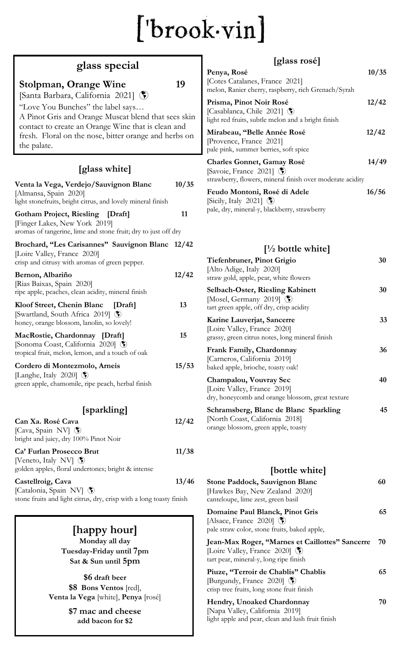# $[ 'brook-vin ]$

## **glass special**

#### **Stolpman, Orange Wine 19**

[Santa Barbara, California 2021]

"Love You Bunches" the label says… A Pinot Gris and Orange Muscat blend that sees skin contact to create an Orange Wine that is clean and fresh. Floral on the nose, bitter orange and herbs on the palate.

#### **[glass white]**

| Venta la Vega, Verdejo/Sauvignon Blanc<br>[Almansa, Spain 2020]<br>light stonefruits, bright citrus, and lovely mineral finish             | 10/35 |
|--------------------------------------------------------------------------------------------------------------------------------------------|-------|
| <b>Gotham Project, Riesling [Draft]</b><br>[Finger Lakes, New York 2019]<br>aromas of tangerine, lime and stone fruit; dry to just off dry | 11    |
| Brochard, "Les Carisannes" Sauvignon Blanc 12/42<br>[Loire Valley, France 2020]<br>crisp and citrusy with aromas of green pepper.          |       |
| Bernon, Albariño<br>[Rias Baixas, Spain 2020]<br>ripe apple, peaches, clean acidity, mineral finish                                        | 12/42 |
| Kloof Street, Chenin Blanc<br>[Draft]<br>[Swartland, South Africa 2019] 5<br>honey, orange blossom, lanolin, so lovely!                    | 13    |
| MacRostie, Chardonnay [Draft]<br>[Sonoma Coast, California 2020] (<br>tropical fruit, melon, lemon, and a touch of oak                     | 15    |
| Cordero di Montezmolo, Arneis<br>[Langhe, Italy 2020] $\circledS$<br>green apple, chamomile, ripe peach, herbal finish                     | 15/53 |
| [sparkling]                                                                                                                                |       |
| Can Xa. Rosé Cava<br>[Cava, Spain NV] (<br>bright and juicy, dry 100% Pinot Noir                                                           | 12/42 |
| Ca' Furlan Prosecco Brut<br>[Veneto, Italy NV] $\bullet$<br>golden apples, floral undertones; bright & intense                             | 11/38 |
| Castellroig, Cava<br>[Catalonia, Spain NV] 5                                                                                               | 13/46 |

stone fruits and light citrus, dry, crisp with a long toasty finish

#### **[happy hour] Monday all day**

**Tuesday-Friday until 7pm Sat & Sun until 5pm**

**\$6 draft beer \$8 Bons Ventos** [red], **Venta la Vega** [white], **Penya** [rosé]

> **\$7 mac and cheese add bacon for \$2**

## **[glass rosé]**

| $15 \text{m}$                                                                                                      |       |
|--------------------------------------------------------------------------------------------------------------------|-------|
| Penya, Rosé<br>[Cotes Catalanes, France 2021]<br>melon, Ranier cherry, raspberry, rich Grenach/Syrah               | 10/35 |
| Prisma, Pinot Noir Rosé<br>[Casablanca, Chile 2021] (<br>light red fruits, subtle melon and a bright finish        | 12/42 |
| Mirabeau, "Belle Année Rosé<br>[Provence, France 2021]<br>pale pink, summer berries, soft spice                    | 12/42 |
| Charles Gonnet, Gamay Rosé<br>[Savoie, France 2021] (<br>strawberry, flowers, mineral finish over moderate acidity | 14/49 |
| Feudo Montoni, Rosé di Adele<br>[Sicily, Italy 2021] $\circledS$<br>pale, dry, mineral-y, blackberry, strawberry   | 16/56 |
| $\left[\frac{1}{2}\right]$ bottle white                                                                            |       |
| Tiefenbruner, Pinot Grigio<br>[Alto Adige, Italy 2020]<br>straw gold, apple, pear, white flowers                   | 30    |
| Solbach Oster, Biosling Kebinett                                                                                   | 2Λ    |

| <b>Selbach-Oster, Riesling Kabinett</b><br>[Mosel, Germany 2019]<br>tart green apple, off dry, crisp acidity   | 30 |
|----------------------------------------------------------------------------------------------------------------|----|
| Karine Lauverjat, Sancerre<br>[Loire Valley, France 2020]<br>grassy, green citrus notes, long mineral finish   | 33 |
| <b>Frank Family, Chardonnay</b><br>[Carneros, California 2019]<br>baked apple, brioche, toasty oak!            | 36 |
| Champalou, Vouvray Sec<br>[Loire Valley, France 2019]<br>dry, honeycomb and orange blossom, great texture      | 40 |
| Schramsberg, Blanc de Blanc Sparkling<br>[North Coast, California 2018]<br>orange blossom, green apple, toasty | 45 |

#### **[bottle white]**

| <b>Stone Paddock, Sauvignon Blanc</b><br>[Hawkes Bay, New Zealand 2020]<br>canteloupe, lime zest, green basil                | 60 |
|------------------------------------------------------------------------------------------------------------------------------|----|
| Domaine Paul Blanck, Pinot Gris<br>[Alsace, France 2020] $\binom{2}{2}$<br>pale straw color, stone fruits, baked apple,      | 65 |
| Jean-Max Roger, "Marnes et Caillottes" Sancerre<br>[Loire Valley, France 2020] (*)<br>tart pear, mineral-y, long ripe finish | 70 |
| Piuze, "Terroir de Chablis" Chablis<br>[Burgundy, France 2020] (<br>crisp tree fruits, long stone fruit finish               | 65 |
| Hendry, Unoaked Chardonnay<br>[Napa Valley, California 2019]<br>light apple and pear, clean and lush fruit finish            | 70 |